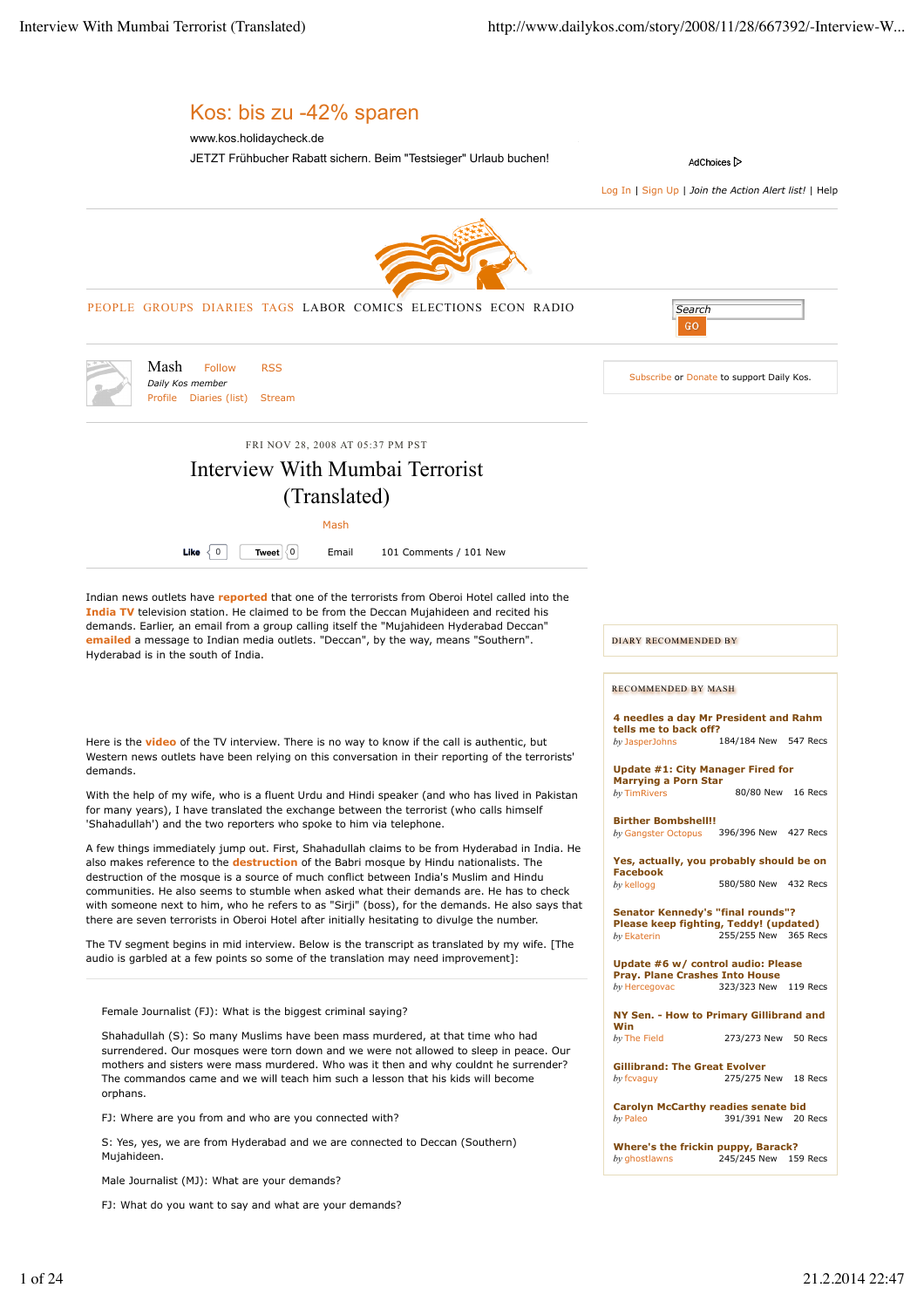